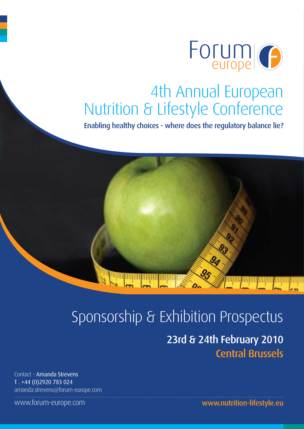

## 4th Annual European Nutrition & Lifestyle Conference

Enabling healthy choices - where does the regulatory balance lie?

# Sponsorship & Exhibition Prospectus

## 23rd & 24th February 2010 Central Brussels

Contact - Amanda Strevens T . +44 (0)2920 783 024 amanda.strevens@forum-europe.com

www.forum-europe.com

www.nutrition-lifestyle.eu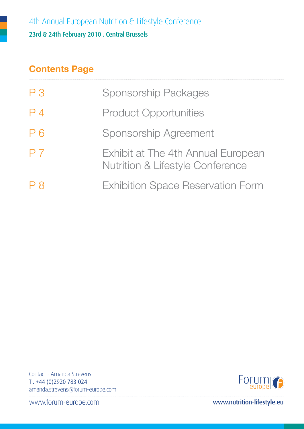### **Contents Page**

| P <sub>3</sub> | <b>Sponsorship Packages</b>                                                       |
|----------------|-----------------------------------------------------------------------------------|
| P <sub>4</sub> | <b>Product Opportunities</b>                                                      |
| P <sub>6</sub> | <b>Sponsorship Agreement</b>                                                      |
| P <sub>7</sub> | Exhibit at The 4th Annual European<br><b>Nutrition &amp; Lifestyle Conference</b> |
| P 8            | <b>Exhibition Space Reservation Form</b>                                          |

Contact - Amanda Strevens T . +44 (0)2920 783 024 amanda.strevens@forum-europe.com

Forum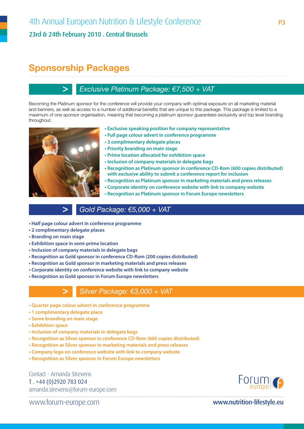### **Sponsorship Packages**

### **>** *Exclusive Platinum Package: €7,500 + VAT*

Becoming the Platinum sponsor for the conference will provide your company with optimal exposure on all marketing material and banners, as well as access to a number of additional benefits that are unique to this package. This package is limited to a maximum of one sponsor organisation, meaning that becoming a platinum sponsor guarantees exclusivity and top level branding throughout.

- 
- **Exclusive speaking position for company representative**
	- **Full page colour advert in conference programme**
	- **3 complimentary delegate places**
	- **Priority branding on main stage**
	- **Prime location allocated for exhibition space**
	- **Inclusion of company materials in delegate bags**
	- **Recognition as Platinum sponsor in conference CD-Rom (600 copies distributed) with exclusive ability to submit a conference report for inclusion**
	- **Recognition as Platinum sponsor in marketing materials and press releases**
	- **Corporate identity on conference website with link to company website**
	- **Recognition as Platinum sponsor in Forum Europe newsletters**

### **>** *Gold Package: €5,000 + VAT*

- **Half page colour advert in conference programme**
- **2 complimentary delegate places**
- **Branding on main stage**
- **Exhibition space in semi-prime location**
- **Inclusion of company materials in delegate bags**
- **Recognition as Gold sponsor in conference CD-Rom (200 copies distributed)**
- **Recognition as Gold sponsor in marketing materials and press releases**
- **Corporate identity on conference website with link to company website**
- **Recognition as Gold sponsor in Forum Europe newsletters**

#### **>** *Silver Package: €3,000 + VAT*

- **Quarter page colour advert in conference programme**
- **1 complimentary delegate place**
- **Some branding on main stage**
- **Exhibition space**
- **Inclusion of company materials in delegate bags**
- **Recognition as Silver sponsor in conference CD-Rom (600 copies distributed)**
- **Recognition as Silver sponsor in marketing materials and press releases**
- **Company logo on conference website with link to company website**
- **Recognition as Silver sponsor in Forum Europe newsletters**

Contact - Amanda Strevens T . +44 (0)2920 783 024 amanda.strevens@forum-europe.com

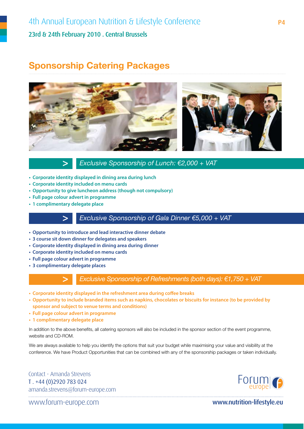### **Sponsorship Catering Packages**



**>** *Exclusive Sponsorship of Lunch: €2,000 + VAT* 

- **Corporate identity displayed in dining area during lunch**
- **Corporate identity included on menu cards**
- **Opportunity to give luncheon address (though not compulsory)**
- **Full page colour advert in programme**
- **1 complimentary delegate place**

### **>** *Exclusive Sponsorship of Gala Dinner €5,000 + VAT*

- **Opportunity to introduce and lead interactive dinner debate**
- **3 course sit down dinner for delegates and speakers**
- **Corporate identity displayed in dining area during dinner**
- **Corporate identity included on menu cards**
- **Full page colour advert in programme**
- **3 complimentary delegate places**



**>** *Exclusive Sponsorship of Refreshments (both days): €1,750 + VAT* 

- **Corporate identity displayed in the refreshment area during coffee breaks**
- **Opportunity to include branded items such as napkins, chocolates or biscuits for instance (to be provided by sponsor and subject to venue terms and conditions)**
- **Full page colour advert in programme**
- **1 complimentary delegate place**

In addition to the above benefits, all catering sponsors will also be included in the sponsor section of the event programme, website and CD-ROM.

We are always available to help you identify the options that suit your budget while maximising your value and visibility at the conference. We have Product Opportunities that can be combined with any of the sponsorship packages or taken individually.

Contact - Amanda Strevens T . +44 (0)2920 783 024 amanda.strevens@forum-europe.com

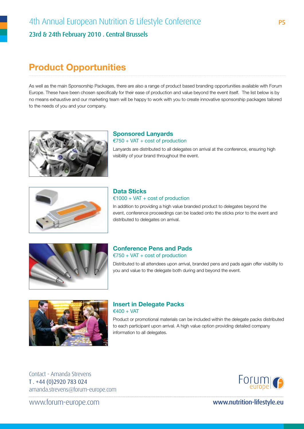### **Product Opportunities**

As well as the main Sponsorship Packages, there are also a range of product based branding opportunities available with Forum Europe. These have been chosen specifically for their ease of production and value beyond the event itself. The list below is by no means exhaustive and our marketing team will be happy to work with you to create innovative sponsorship packages tailored to the needs of you and your company.



**Sponsored Lanyards** €750 + VAT + cost of production Lanyards are distributed to all delegates on arrival at the conference, ensuring high visibility of your brand throughout the event.



### **Data Sticks**   $€1000 + VAT + cost of production$

In addition to providing a high value branded product to delegates beyond the event, conference proceedings can be loaded onto the sticks prior to the event and distributed to delegates on arrival.



#### **Conference Pens and Pads** €750 + VAT + cost of production

Distributed to all attendees upon arrival, branded pens and pads again offer visibility to you and value to the delegate both during and beyond the event.



#### **Insert in Delegate Packs**  $€400 + VAT$

Product or promotional materials can be included within the delegate packs distributed to each participant upon arrival. A high value option providing detailed company information to all delegates.

Contact - Amanda Strevens T . +44 (0)2920 783 024 amanda.strevens@forum-europe.com

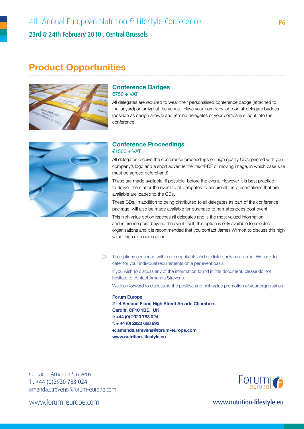### 4th Annual European Nutrition & Lifestyle Conference 23rd & 24th February 2010 . Central Brussels

### **Product Opportunities**



#### **Conference Badges** €750 + VAT

All delegates are required to wear their personalised conference badge (attached to the lanyard) on arrival at the venue. Have your company logo on all delegate badges (position as design allows) and remind delegates of your company's input into the conference.



#### **Conference Proceedings** €1500 + VAT

All delegates receive the conference proceedings on high quality CDs, printed with your company's logo and a short advert (either text/PDF or moving image, in which case size must be agreed beforehand).

These are made available, if possible, before the event. However it is best practice to deliver them after the event to all delegates to ensure all the presentations that are available are loaded to the CDs.

These CDs, in addition to being distributed to all delegates as part of the conference package, will also be made available for purchase to non-attendees post event.

This high value option reaches all delegates and is the most valued information and reference point beyond the event itself, this option is only available to selected organisations and it is recommended that you contact James Wilmott to discuss this high value, high exposure option.

**>** The options contained within are negotiable and are listed only as a guide. We look to cater for your individual requirements on a per event basis.

If you wish to discuss any of the information found in this document, please do not hesitate to contact Amanda Strevens.

We look forward to discussing the positive and high value promotion of your organisation.

#### **Forum Europe 2 - 4 Second Floor, High Street Arcade Chambers, Cardiff, CF10 1BE. UK t: +44 (0) 2920 783 024 f: + 44 (0) 2920 668 992 e: amanda.strevens@forum-europe.com www.nutrition-lifestyle.eu**

Contact - Amanda Strevens T . +44 (0)2920 783 024 amanda.strevens@forum-europe.com

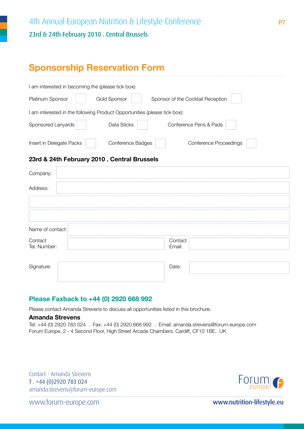### **Sponsorship Reservation Form**

| I am interested in becoming the (please tick box):                        |                        |                                   |  |  |  |  |  |  |
|---------------------------------------------------------------------------|------------------------|-----------------------------------|--|--|--|--|--|--|
| <b>Platinum Sponsor</b>                                                   | Gold Sponsor           | Sponsor of the Cocktail Reception |  |  |  |  |  |  |
| I am interested in the following Product Opportunities (please tick box): |                        |                                   |  |  |  |  |  |  |
| Sponsored Lanyards                                                        | Data Sticks            | Conference Pens & Pads            |  |  |  |  |  |  |
| Insert in Delegate Packs                                                  | Conference Badges<br>. | Conference Proceedings            |  |  |  |  |  |  |

### **23rd & 24th February 2010 . Central Brussels**

| Contact<br>Email: |
|-------------------|
|                   |
| Date:             |
|                   |

### **Please Faxback to +44 (0) 2920 668 992**

Please contact Amanda Strevens to discuss all opportunities listed in this brochure.

#### **Amanda Strevens**

Tel: +44 (0) 2920 783 024 . Fax: +44 (0) 2920 668 992 . Email: amanda.strevens@forum-europe.com Forum Europe, 2 - 4 Second Floor, High Street Arcade Chambers, Cardiff, CF10 1BE. UK

Contact - Amanda Strevens T . +44 (0)2920 783 024 amanda.strevens@forum-europe.com

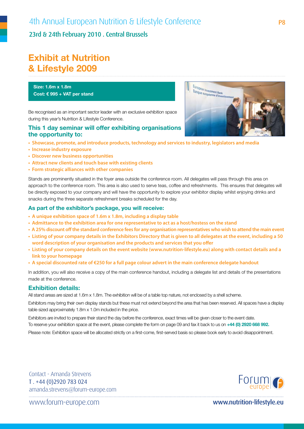23rd & 24th February 2010 . Central Brussels

### **Exhibit at Nutrition & Lifestyle 2009**

**Size: 1.6m x 1.8m Cost: € 995 + VAT per stand**

Be recognised as an important sector leader with an exclusive exhibition space during this year's Nutrition & Lifestyle Conference.

#### **This 1 day seminar will offer exhibiting organisations the opportunity to:**

- **Showcase, promote, and introduce products, technology and services to industry, legislators and media**
- **Increase industry exposure**
- **Discover new business opportunities**
- **Attract new clients and touch base with existing clients**
- **Form strategic alliances with other companies**

Stands are prominently situated in the foyer area outside the conference room. All delegates will pass through this area on approach to the conference room. This area is also used to serve teas, coffee and refreshments. This ensures that delegates will be directly exposed to your company and will have the opportunity to explore your exhibitor display whilst enjoying drinks and snacks during the three separate refreshment breaks scheduled for the day.

#### **As part of the exhibitor's package, you will receive:**

- **A unique exhibition space of 1.6m x 1.8m, including a display table**
- **Admittance to the exhibition area for one representative to act as a host/hostess on the stand**
- **A 25% discount off the standard conference fees for any organisation representatives who wish to attend the main event**
- **Listing of your company details in the Exhibitors Directory that is given to all delegates at the event, including a 50 word description of your organisation and the products and services that you offer**
- **Listing of your company details on the event website (www.nutrition-lifestyle.eu) along with contact details and a link to your homepage**
- **A special discounted rate of €250 for a full page colour advert in the main conference delegate handout**

In addition, you will also receive a copy of the main conference handout, including a delegate list and details of the presentations made at the conference.

#### **Exhibition details:**

All stand areas are sized at 1.6m x 1.8m. The exhibition will be of a table top nature, not enclosed by a shell scheme.

Exhibitors may bring their own display stands but these must not extend beyond the area that has been reserved. All spaces have a display table sized approximately 1.8m x 1.0m included in the price.

Exhibitors are invited to prepare their stand the day before the conference, exact times will be given closer to the event date.

To reserve your exhibition space at the event, please complete the form on page 09 and fax it back to us on **+44 (0) 2920 668 992.**

Please note: Exhibition space will be allocated strictly on a first-come, first-served basis so please book early to avoid disappointment.

Contact - Amanda Strevens T . +44 (0)2920 783 024 amanda.strevens@forum-europe.com

Forum